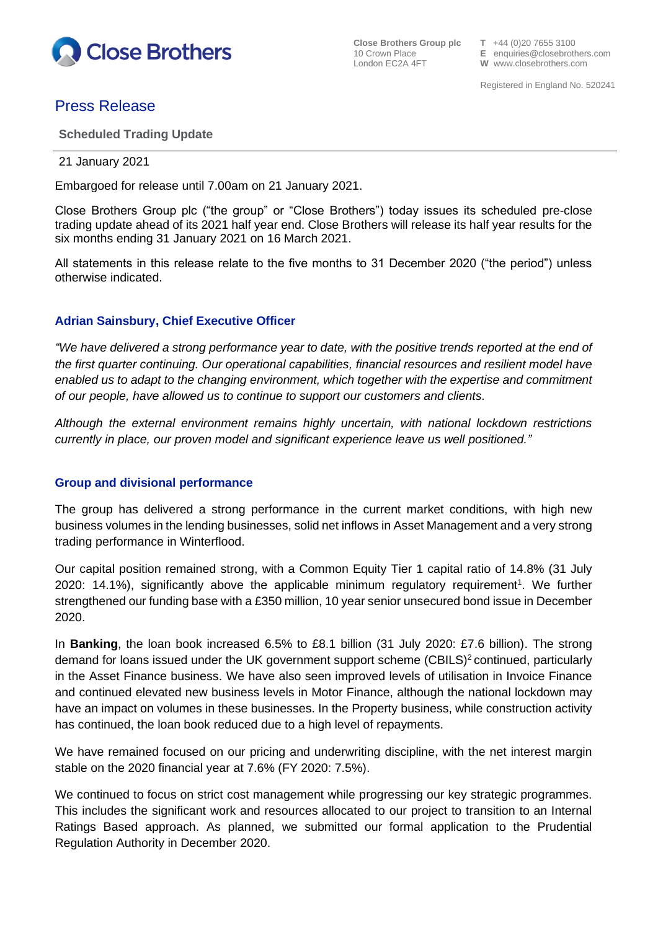

**Close Brothers Group plc**  $T +44$  (0)20 7655 3100<br>10 Crown Place **E** enquiries @ closebroth

10 Crown Place **E** enquiries@closebrothers.com<br>
London EC2A 4FT **W** www.closebrothers.com W www.closebrothers.com

# Press Release

**Scheduled Trading Update**

#### 21 January 2021

Embargoed for release until 7.00am on 21 January 2021.

Close Brothers Group plc ("the group" or "Close Brothers") today issues its scheduled pre-close trading update ahead of its 2021 half year end. Close Brothers will release its half year results for the six months ending 31 January 2021 on 16 March 2021.

All statements in this release relate to the five months to 31 December 2020 ("the period") unless otherwise indicated.

## **Adrian Sainsbury, Chief Executive Officer**

*"We have delivered a strong performance year to date, with the positive trends reported at the end of the first quarter continuing. Our operational capabilities, financial resources and resilient model have enabled us to adapt to the changing environment, which together with the expertise and commitment of our people, have allowed us to continue to support our customers and clients.*

*Although the external environment remains highly uncertain, with national lockdown restrictions currently in place, our proven model and significant experience leave us well positioned."*

## **Group and divisional performance**

The group has delivered a strong performance in the current market conditions, with high new business volumes in the lending businesses, solid net inflows in Asset Management and a very strong trading performance in Winterflood.

Our capital position remained strong, with a Common Equity Tier 1 capital ratio of 14.8% (31 July 2020: 14.1%), significantly above the applicable minimum regulatory requirement<sup>1</sup>. We further strengthened our funding base with a £350 million, 10 year senior unsecured bond issue in December 2020.

In **Banking**, the loan book increased 6.5% to £8.1 billion (31 July 2020: £7.6 billion). The strong demand for loans issued under the UK government support scheme (CBILS)<sup>2</sup> continued, particularly in the Asset Finance business. We have also seen improved levels of utilisation in Invoice Finance and continued elevated new business levels in Motor Finance, although the national lockdown may have an impact on volumes in these businesses. In the Property business, while construction activity has continued, the loan book reduced due to a high level of repayments.

We have remained focused on our pricing and underwriting discipline, with the net interest margin stable on the 2020 financial year at 7.6% (FY 2020: 7.5%).

We continued to focus on strict cost management while progressing our key strategic programmes. This includes the significant work and resources allocated to our project to transition to an Internal Ratings Based approach. As planned, we submitted our formal application to the Prudential Regulation Authority in December 2020.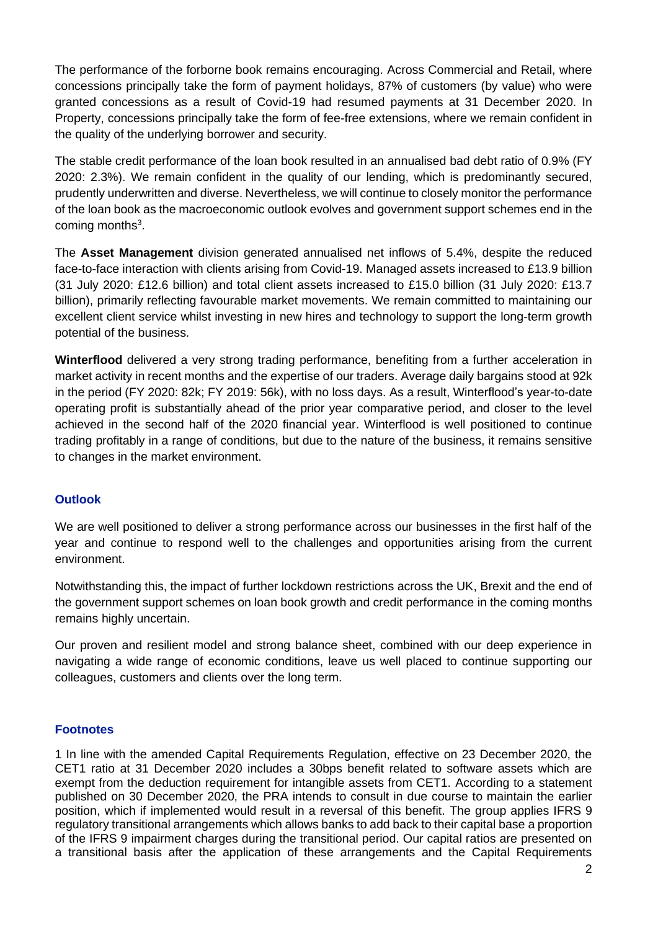The performance of the forborne book remains encouraging. Across Commercial and Retail, where concessions principally take the form of payment holidays, 87% of customers (by value) who were granted concessions as a result of Covid-19 had resumed payments at 31 December 2020. In Property, concessions principally take the form of fee-free extensions, where we remain confident in the quality of the underlying borrower and security.

The stable credit performance of the loan book resulted in an annualised bad debt ratio of 0.9% (FY 2020: 2.3%). We remain confident in the quality of our lending, which is predominantly secured, prudently underwritten and diverse. Nevertheless, we will continue to closely monitor the performance of the loan book as the macroeconomic outlook evolves and government support schemes end in the coming months $3$ .

The **Asset Management** division generated annualised net inflows of 5.4%, despite the reduced face-to-face interaction with clients arising from Covid-19. Managed assets increased to £13.9 billion (31 July 2020: £12.6 billion) and total client assets increased to £15.0 billion (31 July 2020: £13.7 billion), primarily reflecting favourable market movements. We remain committed to maintaining our excellent client service whilst investing in new hires and technology to support the long-term growth potential of the business.

**Winterflood** delivered a very strong trading performance, benefiting from a further acceleration in market activity in recent months and the expertise of our traders. Average daily bargains stood at 92k in the period (FY 2020: 82k; FY 2019: 56k), with no loss days. As a result, Winterflood's year-to-date operating profit is substantially ahead of the prior year comparative period, and closer to the level achieved in the second half of the 2020 financial year. Winterflood is well positioned to continue trading profitably in a range of conditions, but due to the nature of the business, it remains sensitive to changes in the market environment.

## **Outlook**

We are well positioned to deliver a strong performance across our businesses in the first half of the year and continue to respond well to the challenges and opportunities arising from the current environment.

Notwithstanding this, the impact of further lockdown restrictions across the UK, Brexit and the end of the government support schemes on loan book growth and credit performance in the coming months remains highly uncertain.

Our proven and resilient model and strong balance sheet, combined with our deep experience in navigating a wide range of economic conditions, leave us well placed to continue supporting our colleagues, customers and clients over the long term.

## **Footnotes**

1 In line with the amended Capital Requirements Regulation, effective on 23 December 2020, the CET1 ratio at 31 December 2020 includes a 30bps benefit related to software assets which are exempt from the deduction requirement for intangible assets from CET1. According to a statement published on 30 December 2020, the PRA intends to consult in due course to maintain the earlier position, which if implemented would result in a reversal of this benefit. The group applies IFRS 9 regulatory transitional arrangements which allows banks to add back to their capital base a proportion of the IFRS 9 impairment charges during the transitional period. Our capital ratios are presented on a transitional basis after the application of these arrangements and the Capital Requirements